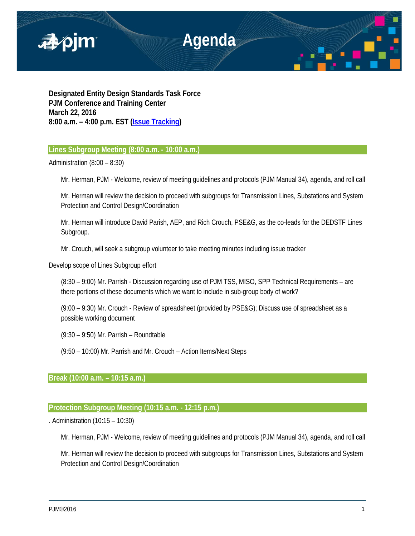

**Designated Entity Design Standards Task Force PJM Conference and Training Center March 22, 2016 8:00 a.m. – 4:00 p.m. EST [\(Issue Tracking\)](http://www.pjm.com/committees-and-groups/issue-tracking/issue-tracking-details.aspx?Issue=%7bE6133A76-DEC6-49DD-89E3-F5ECC642EA67%7d)**

# **Lines Subgroup Meeting (8:00 a.m. - 10:00 a.m.)**

Administration (8:00 – 8:30)

Mr. Herman, PJM - Welcome, review of meeting guidelines and protocols (PJM Manual 34), agenda, and roll call

Mr. Herman will review the decision to proceed with subgroups for Transmission Lines, Substations and System Protection and Control Design/Coordination

Mr. Herman will introduce David Parish, AEP, and Rich Crouch, PSE&G, as the co-leads for the DEDSTF Lines Subgroup.

Mr. Crouch, will seek a subgroup volunteer to take meeting minutes including issue tracker

Develop scope of Lines Subgroup effort

(8:30 – 9:00) Mr. Parrish - Discussion regarding use of PJM TSS, MISO, SPP Technical Requirements – are there portions of these documents which we want to include in sub-group body of work?

(9:00 – 9:30) Mr. Crouch - Review of spreadsheet (provided by PSE&G); Discuss use of spreadsheet as a possible working document

(9:30 – 9:50) Mr. Parrish – Roundtable

(9:50 – 10:00) Mr. Parrish and Mr. Crouch – Action Items/Next Steps

### **Break (10:00 a.m. – 10:15 a.m.)**

# **Protection Subgroup Meeting (10:15 a.m. - 12:15 p.m.)**

. Administration (10:15 – 10:30)

Mr. Herman, PJM - Welcome, review of meeting guidelines and protocols (PJM Manual 34), agenda, and roll call

Mr. Herman will review the decision to proceed with subgroups for Transmission Lines, Substations and System Protection and Control Design/Coordination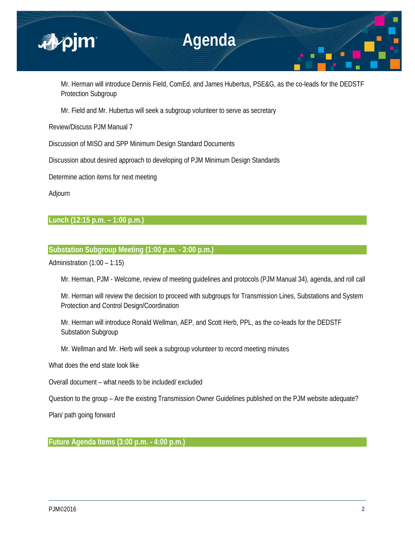

Mr. Herman will introduce Dennis Field, ComEd, and James Hubertus, PSE&G, as the co-leads for the DEDSTF Protection Subgroup

Mr. Field and Mr. Hubertus will seek a subgroup volunteer to serve as secretary

Review/Discuss PJM Manual 7

Discussion of MISO and SPP Minimum Design Standard Documents

Discussion about desired approach to developing of PJM Minimum Design Standards

Determine action items for next meeting

Adjourn

# **Lunch (12:15 p.m. – 1:00 p.m.)**

# **Substation Subgroup Meeting (1:00 p.m. - 3:00 p.m.)**

Administration (1:00 – 1:15)

Mr. Herman, PJM - Welcome, review of meeting guidelines and protocols (PJM Manual 34), agenda, and roll call

Mr. Herman will review the decision to proceed with subgroups for Transmission Lines, Substations and System Protection and Control Design/Coordination

Mr. Herman will introduce Ronald Wellman, AEP, and Scott Herb, PPL, as the co-leads for the DEDSTF Substation Subgroup

Mr. Wellman and Mr. Herb will seek a subgroup volunteer to record meeting minutes

What does the end state look like

Overall document – what needs to be included/ excluded

Question to the group – Are the existing Transmission Owner Guidelines published on the PJM website adequate?

Plan/ path going forward

**Future Agenda Items (3:00 p.m. - 4:00 p.m.)**